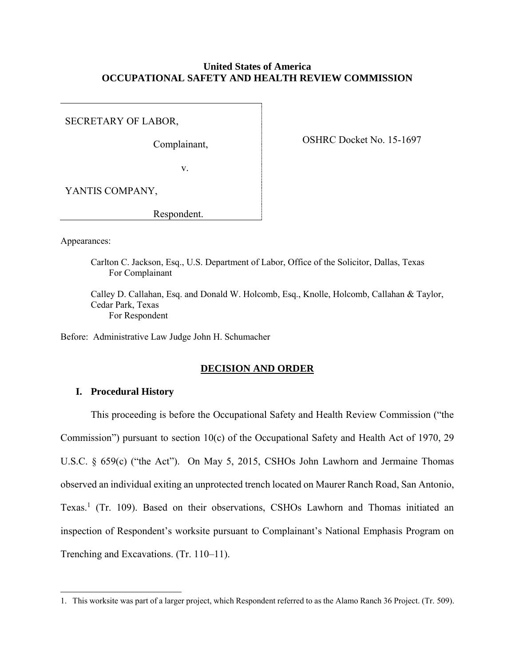### **United States of America OCCUPATIONAL SAFETY AND HEALTH REVIEW COMMISSION**

SECRETARY OF LABOR,

Complainant,

OSHRC Docket No. 15-1697

v.

YANTIS COMPANY,

Respondent.

Appearances:

 $\overline{a}$ 

Carlton C. Jackson, Esq., U.S. Department of Labor, Office of the Solicitor, Dallas, Texas For Complainant

Calley D. Callahan, Esq. and Donald W. Holcomb, Esq., Knolle, Holcomb, Callahan & Taylor, Cedar Park, Texas For Respondent

Before: Administrative Law Judge John H. Schumacher

#### **DECISION AND ORDER**

#### **I. Procedural History**

This proceeding is before the Occupational Safety and Health Review Commission ("the Commission") pursuant to section 10(c) of the Occupational Safety and Health Act of 1970, 29 U.S.C. § 659(c) ("the Act"). On May 5, 2015, CSHOs John Lawhorn and Jermaine Thomas observed an individual exiting an unprotected trench located on Maurer Ranch Road, San Antonio, Texas. 1 (Tr. 109). Based on their observations, CSHOs Lawhorn and Thomas initiated an inspection of Respondent's worksite pursuant to Complainant's National Emphasis Program on Trenching and Excavations. (Tr. 110–11).

<sup>1.</sup> This worksite was part of a larger project, which Respondent referred to as the Alamo Ranch 36 Project. (Tr. 509).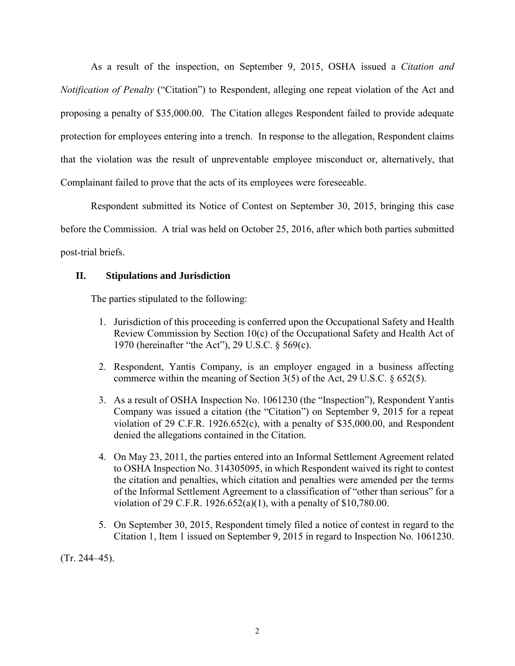As a result of the inspection, on September 9, 2015, OSHA issued a *Citation and Notification of Penalty* ("Citation") to Respondent, alleging one repeat violation of the Act and proposing a penalty of \$35,000.00. The Citation alleges Respondent failed to provide adequate protection for employees entering into a trench. In response to the allegation, Respondent claims that the violation was the result of unpreventable employee misconduct or, alternatively, that Complainant failed to prove that the acts of its employees were foreseeable.

Respondent submitted its Notice of Contest on September 30, 2015, bringing this case before the Commission. A trial was held on October 25, 2016, after which both parties submitted post-trial briefs.

## **II. Stipulations and Jurisdiction**

The parties stipulated to the following:

- 1. Jurisdiction of this proceeding is conferred upon the Occupational Safety and Health Review Commission by Section 10(c) of the Occupational Safety and Health Act of 1970 (hereinafter "the Act"), 29 U.S.C. § 569(c).
- 2. Respondent, Yantis Company, is an employer engaged in a business affecting commerce within the meaning of Section 3(5) of the Act, 29 U.S.C. § 652(5).
- 3. As a result of OSHA Inspection No. 1061230 (the "Inspection"), Respondent Yantis Company was issued a citation (the "Citation") on September 9, 2015 for a repeat violation of 29 C.F.R. 1926.652(c), with a penalty of \$35,000.00, and Respondent denied the allegations contained in the Citation.
- 4. On May 23, 2011, the parties entered into an Informal Settlement Agreement related to OSHA Inspection No. 314305095, in which Respondent waived its right to contest the citation and penalties, which citation and penalties were amended per the terms of the Informal Settlement Agreement to a classification of "other than serious" for a violation of 29 C.F.R. 1926.652(a)(1), with a penalty of \$10,780.00.
- 5. On September 30, 2015, Respondent timely filed a notice of contest in regard to the Citation 1, Item 1 issued on September 9, 2015 in regard to Inspection No. 1061230.

(Tr. 244–45).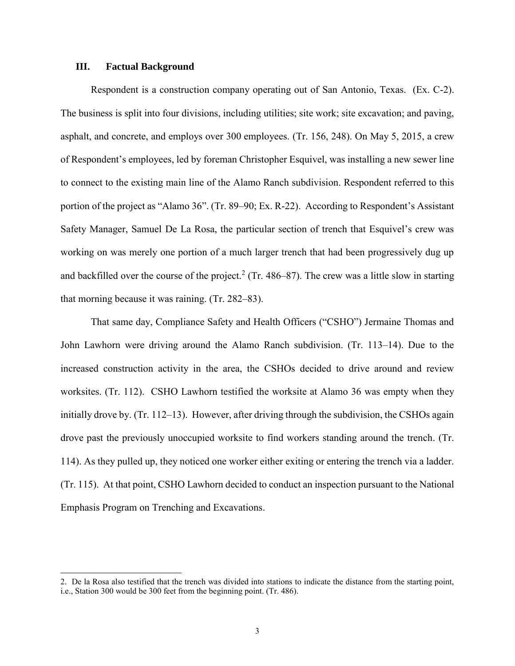#### **III. Factual Background**

 $\overline{a}$ 

Respondent is a construction company operating out of San Antonio, Texas. (Ex. C-2). The business is split into four divisions, including utilities; site work; site excavation; and paving, asphalt, and concrete, and employs over 300 employees. (Tr. 156, 248). On May 5, 2015, a crew of Respondent's employees, led by foreman Christopher Esquivel, was installing a new sewer line to connect to the existing main line of the Alamo Ranch subdivision. Respondent referred to this portion of the project as "Alamo 36". (Tr. 89–90; Ex. R-22). According to Respondent's Assistant Safety Manager, Samuel De La Rosa, the particular section of trench that Esquivel's crew was working on was merely one portion of a much larger trench that had been progressively dug up and backfilled over the course of the project.<sup>2</sup> (Tr. 486–87). The crew was a little slow in starting that morning because it was raining. (Tr. 282–83).

That same day, Compliance Safety and Health Officers ("CSHO") Jermaine Thomas and John Lawhorn were driving around the Alamo Ranch subdivision. (Tr. 113–14). Due to the increased construction activity in the area, the CSHOs decided to drive around and review worksites. (Tr. 112). CSHO Lawhorn testified the worksite at Alamo 36 was empty when they initially drove by. (Tr. 112–13). However, after driving through the subdivision, the CSHOs again drove past the previously unoccupied worksite to find workers standing around the trench. (Tr. 114). As they pulled up, they noticed one worker either exiting or entering the trench via a ladder. (Tr. 115). At that point, CSHO Lawhorn decided to conduct an inspection pursuant to the National Emphasis Program on Trenching and Excavations.

<sup>2.</sup> De la Rosa also testified that the trench was divided into stations to indicate the distance from the starting point, i.e., Station 300 would be 300 feet from the beginning point. (Tr. 486).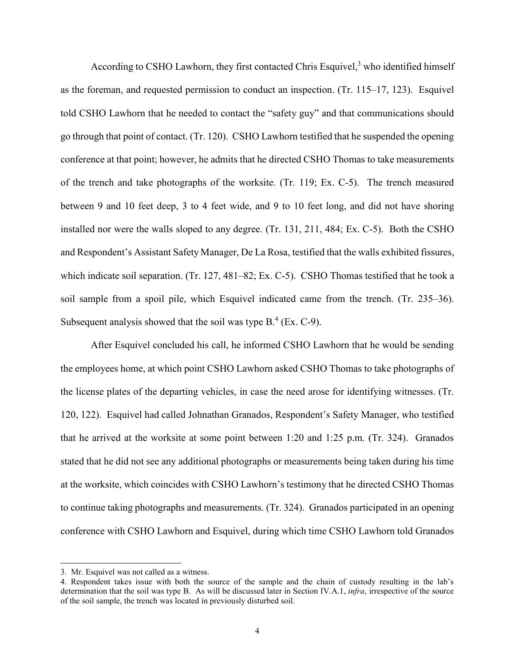According to CSHO Lawhorn, they first contacted Chris Esquivel, <sup>3</sup> who identified himself as the foreman, and requested permission to conduct an inspection. (Tr. 115–17, 123). Esquivel told CSHO Lawhorn that he needed to contact the "safety guy" and that communications should go through that point of contact. (Tr. 120). CSHO Lawhorn testified that he suspended the opening conference at that point; however, he admits that he directed CSHO Thomas to take measurements of the trench and take photographs of the worksite. (Tr. 119; Ex. C-5). The trench measured between 9 and 10 feet deep, 3 to 4 feet wide, and 9 to 10 feet long, and did not have shoring installed nor were the walls sloped to any degree. (Tr. 131, 211, 484; Ex. C-5). Both the CSHO and Respondent's Assistant Safety Manager, De La Rosa, testified that the walls exhibited fissures, which indicate soil separation. (Tr. 127, 481–82; Ex. C-5). CSHO Thomas testified that he took a soil sample from a spoil pile, which Esquivel indicated came from the trench. (Tr. 235–36). Subsequent analysis showed that the soil was type  $B^4$  (Ex. C-9).

After Esquivel concluded his call, he informed CSHO Lawhorn that he would be sending the employees home, at which point CSHO Lawhorn asked CSHO Thomas to take photographs of the license plates of the departing vehicles, in case the need arose for identifying witnesses. (Tr. 120, 122). Esquivel had called Johnathan Granados, Respondent's Safety Manager, who testified that he arrived at the worksite at some point between 1:20 and 1:25 p.m. (Tr. 324). Granados stated that he did not see any additional photographs or measurements being taken during his time at the worksite, which coincides with CSHO Lawhorn's testimony that he directed CSHO Thomas to continue taking photographs and measurements. (Tr. 324). Granados participated in an opening conference with CSHO Lawhorn and Esquivel, during which time CSHO Lawhorn told Granados

 $\overline{a}$ 

<sup>3.</sup> Mr. Esquivel was not called as a witness.

<sup>4.</sup> Respondent takes issue with both the source of the sample and the chain of custody resulting in the lab's determination that the soil was type B. As will be discussed later in Section IV.A.1, *infra*, irrespective of the source of the soil sample, the trench was located in previously disturbed soil.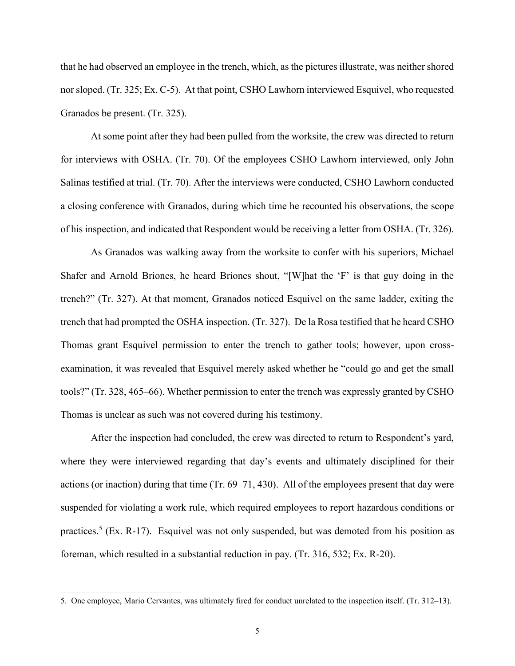that he had observed an employee in the trench, which, as the pictures illustrate, was neither shored nor sloped. (Tr. 325; Ex. C-5). At that point, CSHO Lawhorn interviewed Esquivel, who requested Granados be present. (Tr. 325).

At some point after they had been pulled from the worksite, the crew was directed to return for interviews with OSHA. (Tr. 70). Of the employees CSHO Lawhorn interviewed, only John Salinas testified at trial. (Tr. 70). After the interviews were conducted, CSHO Lawhorn conducted a closing conference with Granados, during which time he recounted his observations, the scope of his inspection, and indicated that Respondent would be receiving a letter from OSHA. (Tr. 326).

As Granados was walking away from the worksite to confer with his superiors, Michael Shafer and Arnold Briones, he heard Briones shout, "[W]hat the 'F' is that guy doing in the trench?" (Tr. 327). At that moment, Granados noticed Esquivel on the same ladder, exiting the trench that had prompted the OSHA inspection. (Tr. 327). De la Rosa testified that he heard CSHO Thomas grant Esquivel permission to enter the trench to gather tools; however, upon crossexamination, it was revealed that Esquivel merely asked whether he "could go and get the small tools?" (Tr. 328, 465–66). Whether permission to enter the trench was expressly granted by CSHO Thomas is unclear as such was not covered during his testimony.

After the inspection had concluded, the crew was directed to return to Respondent's yard, where they were interviewed regarding that day's events and ultimately disciplined for their actions (or inaction) during that time (Tr. 69–71, 430). All of the employees present that day were suspended for violating a work rule, which required employees to report hazardous conditions or practices.<sup>5</sup> (Ex. R-17). Esquivel was not only suspended, but was demoted from his position as foreman, which resulted in a substantial reduction in pay. (Tr. 316, 532; Ex. R-20).

 $\overline{a}$ 

<sup>5.</sup> One employee, Mario Cervantes, was ultimately fired for conduct unrelated to the inspection itself. (Tr. 312–13).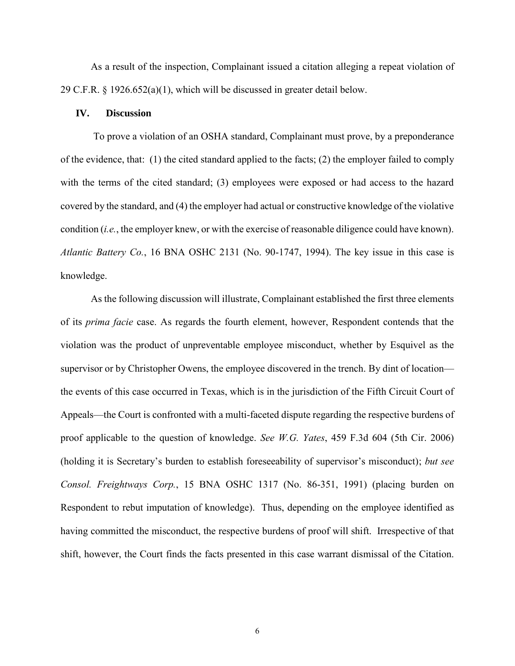As a result of the inspection, Complainant issued a citation alleging a repeat violation of 29 C.F.R. § 1926.652(a)(1), which will be discussed in greater detail below.

#### **IV. Discussion**

To prove a violation of an OSHA standard, Complainant must prove, by a preponderance of the evidence, that: (1) the cited standard applied to the facts; (2) the employer failed to comply with the terms of the cited standard; (3) employees were exposed or had access to the hazard covered by the standard, and (4) the employer had actual or constructive knowledge of the violative condition (*i.e.*, the employer knew, or with the exercise of reasonable diligence could have known). *Atlantic Battery Co.*, 16 BNA OSHC 2131 (No. 90-1747, 1994). The key issue in this case is knowledge.

As the following discussion will illustrate, Complainant established the first three elements of its *prima facie* case. As regards the fourth element, however, Respondent contends that the violation was the product of unpreventable employee misconduct, whether by Esquivel as the supervisor or by Christopher Owens, the employee discovered in the trench. By dint of location the events of this case occurred in Texas, which is in the jurisdiction of the Fifth Circuit Court of Appeals—the Court is confronted with a multi-faceted dispute regarding the respective burdens of proof applicable to the question of knowledge. *See W.G. Yates*, 459 F.3d 604 (5th Cir. 2006) (holding it is Secretary's burden to establish foreseeability of supervisor's misconduct); *but see Consol. Freightways Corp.*, 15 BNA OSHC 1317 (No. 86-351, 1991) (placing burden on Respondent to rebut imputation of knowledge). Thus, depending on the employee identified as having committed the misconduct, the respective burdens of proof will shift. Irrespective of that shift, however, the Court finds the facts presented in this case warrant dismissal of the Citation.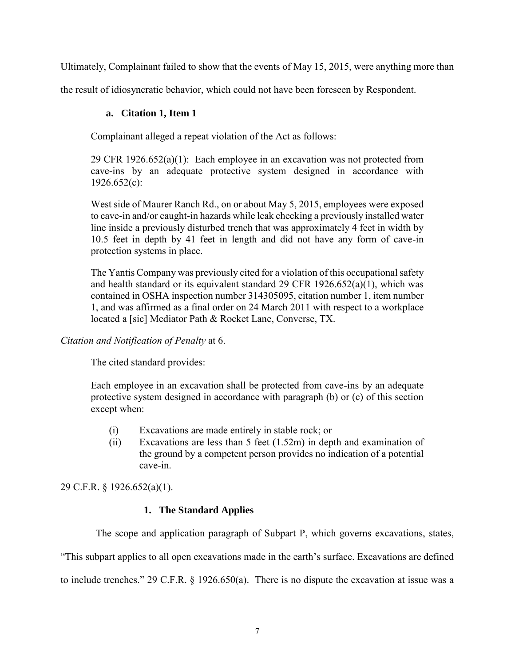Ultimately, Complainant failed to show that the events of May 15, 2015, were anything more than

the result of idiosyncratic behavior, which could not have been foreseen by Respondent.

## **a. Citation 1, Item 1**

Complainant alleged a repeat violation of the Act as follows:

29 CFR 1926.652(a)(1): Each employee in an excavation was not protected from cave-ins by an adequate protective system designed in accordance with 1926.652(c):

West side of Maurer Ranch Rd., on or about May 5, 2015, employees were exposed to cave-in and/or caught-in hazards while leak checking a previously installed water line inside a previously disturbed trench that was approximately 4 feet in width by 10.5 feet in depth by 41 feet in length and did not have any form of cave-in protection systems in place.

The Yantis Company was previously cited for a violation of this occupational safety and health standard or its equivalent standard 29 CFR 1926.652(a)(1), which was contained in OSHA inspection number 314305095, citation number 1, item number 1, and was affirmed as a final order on 24 March 2011 with respect to a workplace located a [sic] Mediator Path & Rocket Lane, Converse, TX.

*Citation and Notification of Penalty* at 6.

The cited standard provides:

Each employee in an excavation shall be protected from cave-ins by an adequate protective system designed in accordance with paragraph (b) or (c) of this section except when:

- (i) Excavations are made entirely in stable rock; or
- (ii) Excavations are less than 5 feet (1.52m) in depth and examination of the ground by a competent person provides no indication of a potential cave-in.

29 C.F.R. § 1926.652(a)(1).

## **1. The Standard Applies**

The scope and application paragraph of Subpart P, which governs excavations, states,

"This subpart applies to all open excavations made in the earth's surface. Excavations are defined

to include trenches." 29 C.F.R. § 1926.650(a). There is no dispute the excavation at issue was a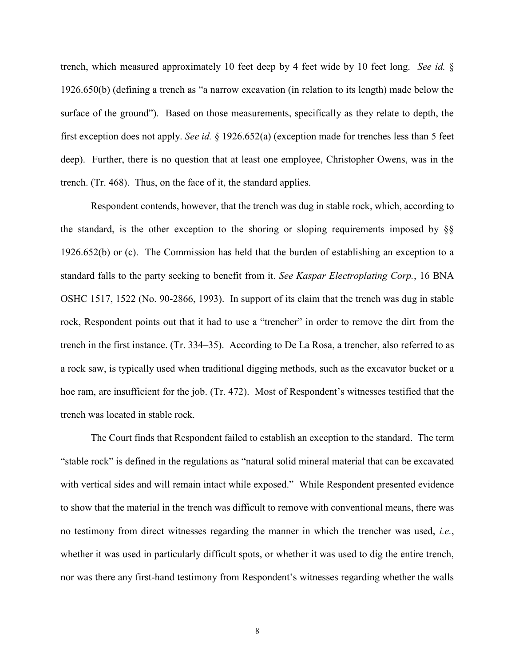trench, which measured approximately 10 feet deep by 4 feet wide by 10 feet long. *See id.* § 1926.650(b) (defining a trench as "a narrow excavation (in relation to its length) made below the surface of the ground"). Based on those measurements, specifically as they relate to depth, the first exception does not apply. *See id.* § 1926.652(a) (exception made for trenches less than 5 feet deep). Further, there is no question that at least one employee, Christopher Owens, was in the trench. (Tr. 468). Thus, on the face of it, the standard applies.

Respondent contends, however, that the trench was dug in stable rock, which, according to the standard, is the other exception to the shoring or sloping requirements imposed by  $\S$ § 1926.652(b) or (c). The Commission has held that the burden of establishing an exception to a standard falls to the party seeking to benefit from it. *See Kaspar Electroplating Corp.*, 16 BNA OSHC 1517, 1522 (No. 90-2866, 1993). In support of its claim that the trench was dug in stable rock, Respondent points out that it had to use a "trencher" in order to remove the dirt from the trench in the first instance. (Tr. 334–35). According to De La Rosa, a trencher, also referred to as a rock saw, is typically used when traditional digging methods, such as the excavator bucket or a hoe ram, are insufficient for the job. (Tr. 472). Most of Respondent's witnesses testified that the trench was located in stable rock.

The Court finds that Respondent failed to establish an exception to the standard. The term "stable rock" is defined in the regulations as "natural solid mineral material that can be excavated with vertical sides and will remain intact while exposed." While Respondent presented evidence to show that the material in the trench was difficult to remove with conventional means, there was no testimony from direct witnesses regarding the manner in which the trencher was used, *i.e.*, whether it was used in particularly difficult spots, or whether it was used to dig the entire trench, nor was there any first-hand testimony from Respondent's witnesses regarding whether the walls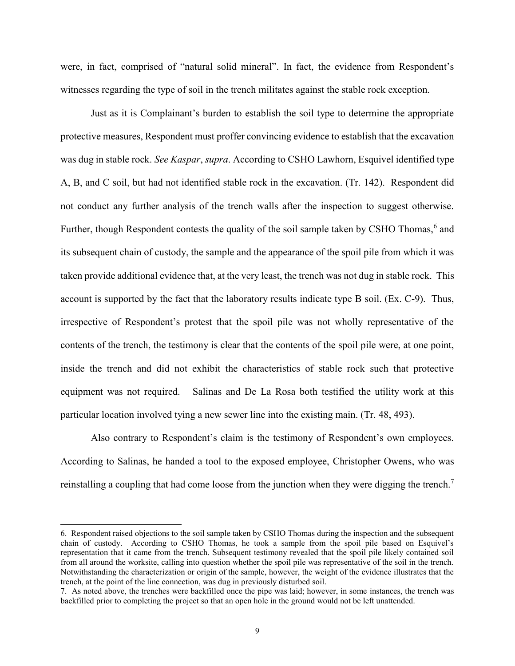were, in fact, comprised of "natural solid mineral". In fact, the evidence from Respondent's witnesses regarding the type of soil in the trench militates against the stable rock exception.

Just as it is Complainant's burden to establish the soil type to determine the appropriate protective measures, Respondent must proffer convincing evidence to establish that the excavation was dug in stable rock. *See Kaspar*, *supra*. According to CSHO Lawhorn, Esquivel identified type A, B, and C soil, but had not identified stable rock in the excavation. (Tr. 142). Respondent did not conduct any further analysis of the trench walls after the inspection to suggest otherwise. Further, though Respondent contests the quality of the soil sample taken by CSHO Thomas,<sup>6</sup> and its subsequent chain of custody, the sample and the appearance of the spoil pile from which it was taken provide additional evidence that, at the very least, the trench was not dug in stable rock. This account is supported by the fact that the laboratory results indicate type B soil. (Ex. C-9). Thus, irrespective of Respondent's protest that the spoil pile was not wholly representative of the contents of the trench, the testimony is clear that the contents of the spoil pile were, at one point, inside the trench and did not exhibit the characteristics of stable rock such that protective equipment was not required. Salinas and De La Rosa both testified the utility work at this particular location involved tying a new sewer line into the existing main. (Tr. 48, 493).

Also contrary to Respondent's claim is the testimony of Respondent's own employees. According to Salinas, he handed a tool to the exposed employee, Christopher Owens, who was reinstalling a coupling that had come loose from the junction when they were digging the trench.<sup>7</sup>

 $\overline{a}$ 

<sup>6.</sup> Respondent raised objections to the soil sample taken by CSHO Thomas during the inspection and the subsequent chain of custody. According to CSHO Thomas, he took a sample from the spoil pile based on Esquivel's representation that it came from the trench. Subsequent testimony revealed that the spoil pile likely contained soil from all around the worksite, calling into question whether the spoil pile was representative of the soil in the trench. Notwithstanding the characterization or origin of the sample, however, the weight of the evidence illustrates that the trench, at the point of the line connection, was dug in previously disturbed soil.

<sup>7.</sup> As noted above, the trenches were backfilled once the pipe was laid; however, in some instances, the trench was backfilled prior to completing the project so that an open hole in the ground would not be left unattended.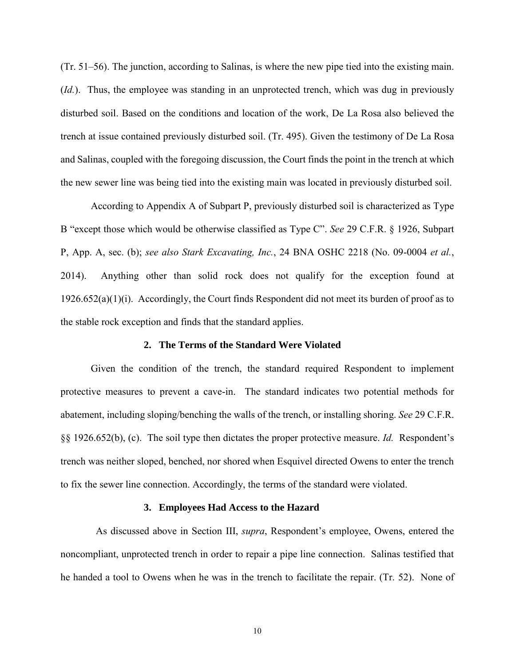(Tr. 51–56). The junction, according to Salinas, is where the new pipe tied into the existing main. (*Id.*). Thus, the employee was standing in an unprotected trench, which was dug in previously disturbed soil. Based on the conditions and location of the work, De La Rosa also believed the trench at issue contained previously disturbed soil. (Tr. 495). Given the testimony of De La Rosa and Salinas, coupled with the foregoing discussion, the Court finds the point in the trench at which the new sewer line was being tied into the existing main was located in previously disturbed soil.

According to Appendix A of Subpart P, previously disturbed soil is characterized as Type B "except those which would be otherwise classified as Type C". *See* 29 C.F.R. § 1926, Subpart P, App. A, sec. (b); *see also Stark Excavating, Inc.*, 24 BNA OSHC 2218 (No. 09-0004 *et al.*, 2014). Anything other than solid rock does not qualify for the exception found at 1926.652(a)(1)(i). Accordingly, the Court finds Respondent did not meet its burden of proof as to the stable rock exception and finds that the standard applies.

#### **2. The Terms of the Standard Were Violated**

Given the condition of the trench, the standard required Respondent to implement protective measures to prevent a cave-in. The standard indicates two potential methods for abatement, including sloping/benching the walls of the trench, or installing shoring. *See* 29 C.F.R. §§ 1926.652(b), (c). The soil type then dictates the proper protective measure. *Id.* Respondent's trench was neither sloped, benched, nor shored when Esquivel directed Owens to enter the trench to fix the sewer line connection. Accordingly, the terms of the standard were violated.

#### **3. Employees Had Access to the Hazard**

 As discussed above in Section III, *supra*, Respondent's employee, Owens, entered the noncompliant, unprotected trench in order to repair a pipe line connection. Salinas testified that he handed a tool to Owens when he was in the trench to facilitate the repair. (Tr. 52). None of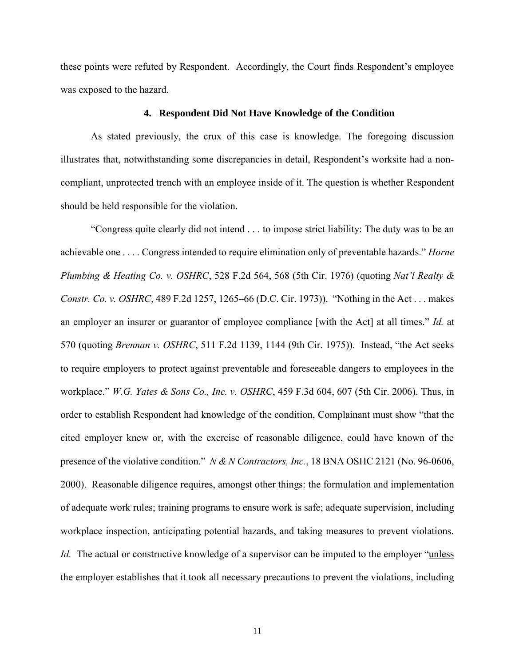these points were refuted by Respondent. Accordingly, the Court finds Respondent's employee was exposed to the hazard.

#### **4. Respondent Did Not Have Knowledge of the Condition**

As stated previously, the crux of this case is knowledge. The foregoing discussion illustrates that, notwithstanding some discrepancies in detail, Respondent's worksite had a noncompliant, unprotected trench with an employee inside of it. The question is whether Respondent should be held responsible for the violation.

"Congress quite clearly did not intend . . . to impose strict liability: The duty was to be an achievable one . . . . Congress intended to require elimination only of preventable hazards." *Horne Plumbing & Heating Co. v. OSHRC*, 528 F.2d 564, 568 (5th Cir. 1976) (quoting *Nat'l Realty & Constr. Co. v. OSHRC*, 489 F.2d 1257, 1265–66 (D.C. Cir. 1973)). "Nothing in the Act . . . makes an employer an insurer or guarantor of employee compliance [with the Act] at all times." *Id.* at 570 (quoting *Brennan v. OSHRC*, 511 F.2d 1139, 1144 (9th Cir. 1975)). Instead, "the Act seeks to require employers to protect against preventable and foreseeable dangers to employees in the workplace." *W.G. Yates & Sons Co., Inc. v. OSHRC*, 459 F.3d 604, 607 (5th Cir. 2006). Thus, in order to establish Respondent had knowledge of the condition, Complainant must show "that the cited employer knew or, with the exercise of reasonable diligence, could have known of the presence of the violative condition." *N & N Contractors, Inc.*, 18 BNA OSHC 2121 (No. 96-0606, 2000). Reasonable diligence requires, amongst other things: the formulation and implementation of adequate work rules; training programs to ensure work is safe; adequate supervision, including workplace inspection, anticipating potential hazards, and taking measures to prevent violations. *Id.* The actual or constructive knowledge of a supervisor can be imputed to the employer "unless" the employer establishes that it took all necessary precautions to prevent the violations, including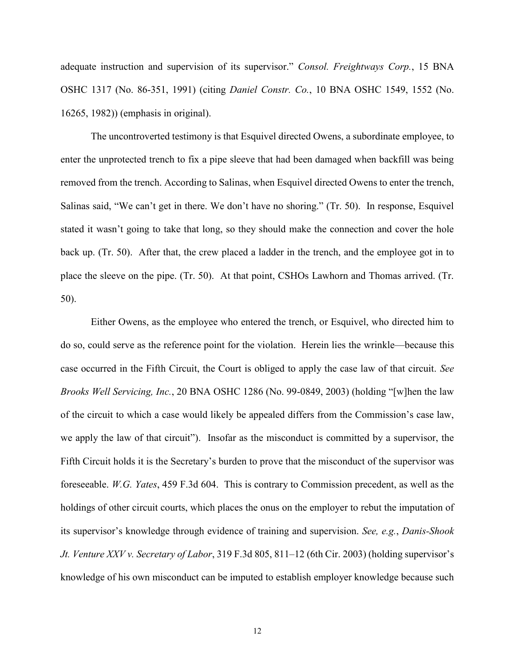adequate instruction and supervision of its supervisor." *Consol. Freightways Corp.*, 15 BNA OSHC 1317 (No. 86-351, 1991) (citing *Daniel Constr. Co.*, 10 BNA OSHC 1549, 1552 (No. 16265, 1982)) (emphasis in original).

The uncontroverted testimony is that Esquivel directed Owens, a subordinate employee, to enter the unprotected trench to fix a pipe sleeve that had been damaged when backfill was being removed from the trench. According to Salinas, when Esquivel directed Owens to enter the trench, Salinas said, "We can't get in there. We don't have no shoring." (Tr. 50). In response, Esquivel stated it wasn't going to take that long, so they should make the connection and cover the hole back up. (Tr. 50). After that, the crew placed a ladder in the trench, and the employee got in to place the sleeve on the pipe. (Tr. 50). At that point, CSHOs Lawhorn and Thomas arrived. (Tr. 50).

Either Owens, as the employee who entered the trench, or Esquivel, who directed him to do so, could serve as the reference point for the violation. Herein lies the wrinkle—because this case occurred in the Fifth Circuit, the Court is obliged to apply the case law of that circuit. *See Brooks Well Servicing, Inc.*, 20 BNA OSHC 1286 (No. 99-0849, 2003) (holding "[w]hen the law of the circuit to which a case would likely be appealed differs from the Commission's case law, we apply the law of that circuit"). Insofar as the misconduct is committed by a supervisor, the Fifth Circuit holds it is the Secretary's burden to prove that the misconduct of the supervisor was foreseeable. *W.G. Yates*, 459 F.3d 604. This is contrary to Commission precedent, as well as the holdings of other circuit courts, which places the onus on the employer to rebut the imputation of its supervisor's knowledge through evidence of training and supervision. *See, e.g.*, *Danis-Shook Jt. Venture XXV v. Secretary of Labor*, 319 F.3d 805, 811–12 (6th Cir. 2003) (holding supervisor's knowledge of his own misconduct can be imputed to establish employer knowledge because such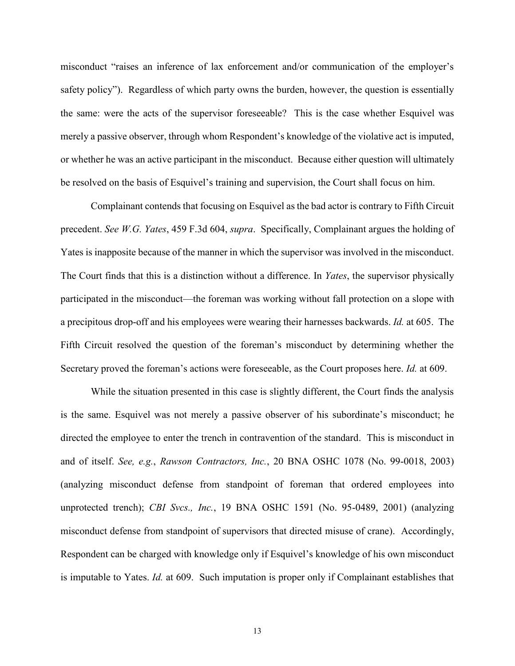misconduct "raises an inference of lax enforcement and/or communication of the employer's safety policy"). Regardless of which party owns the burden, however, the question is essentially the same: were the acts of the supervisor foreseeable? This is the case whether Esquivel was merely a passive observer, through whom Respondent's knowledge of the violative act is imputed, or whether he was an active participant in the misconduct. Because either question will ultimately be resolved on the basis of Esquivel's training and supervision, the Court shall focus on him.

Complainant contends that focusing on Esquivel as the bad actor is contrary to Fifth Circuit precedent. *See W.G. Yates*, 459 F.3d 604, *supra*. Specifically, Complainant argues the holding of Yates is inapposite because of the manner in which the supervisor was involved in the misconduct. The Court finds that this is a distinction without a difference. In *Yates*, the supervisor physically participated in the misconduct—the foreman was working without fall protection on a slope with a precipitous drop-off and his employees were wearing their harnesses backwards. *Id.* at 605. The Fifth Circuit resolved the question of the foreman's misconduct by determining whether the Secretary proved the foreman's actions were foreseeable, as the Court proposes here. *Id.* at 609.

While the situation presented in this case is slightly different, the Court finds the analysis is the same. Esquivel was not merely a passive observer of his subordinate's misconduct; he directed the employee to enter the trench in contravention of the standard. This is misconduct in and of itself. *See, e.g.*, *Rawson Contractors, Inc.*, 20 BNA OSHC 1078 (No. 99-0018, 2003) (analyzing misconduct defense from standpoint of foreman that ordered employees into unprotected trench); *CBI Svcs., Inc.*, 19 BNA OSHC 1591 (No. 95-0489, 2001) (analyzing misconduct defense from standpoint of supervisors that directed misuse of crane). Accordingly, Respondent can be charged with knowledge only if Esquivel's knowledge of his own misconduct is imputable to Yates. *Id.* at 609. Such imputation is proper only if Complainant establishes that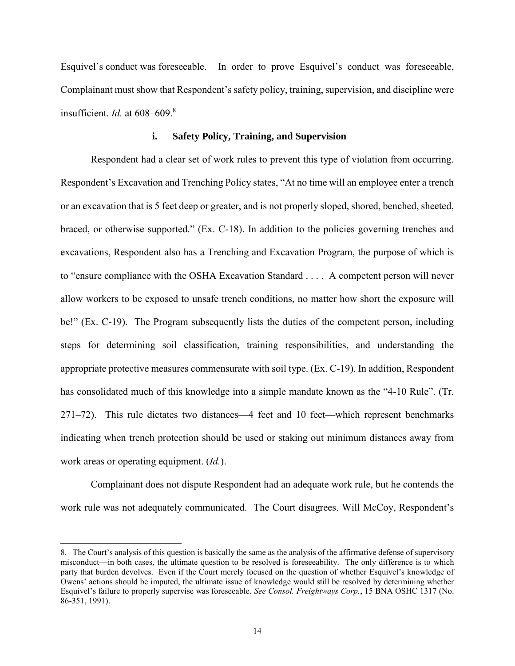Esquivel's conduct was foreseeable. In order to prove Esquivel's conduct was foreseeable, Complainant must show that Respondent's safety policy, training, supervision, and discipline were insufficient. *Id.* at 608–609. 8

### **i. Safety Policy, Training, and Supervision**

Respondent had a clear set of work rules to prevent this type of violation from occurring. Respondent's Excavation and Trenching Policy states, "At no time will an employee enter a trench or an excavation that is 5 feet deep or greater, and is not properly sloped, shored, benched, sheeted, braced, or otherwise supported." (Ex. C-18). In addition to the policies governing trenches and excavations, Respondent also has a Trenching and Excavation Program, the purpose of which is to "ensure compliance with the OSHA Excavation Standard . . . . A competent person will never allow workers to be exposed to unsafe trench conditions, no matter how short the exposure will be!" (Ex. C-19). The Program subsequently lists the duties of the competent person, including steps for determining soil classification, training responsibilities, and understanding the appropriate protective measures commensurate with soil type. (Ex. C-19). In addition, Respondent has consolidated much of this knowledge into a simple mandate known as the "4-10 Rule". (Tr. 271–72). This rule dictates two distances—4 feet and 10 feet—which represent benchmarks indicating when trench protection should be used or staking out minimum distances away from work areas or operating equipment. (*Id.*).

Complainant does not dispute Respondent had an adequate work rule, but he contends the work rule was not adequately communicated. The Court disagrees. Will McCoy, Respondent's

 $\overline{a}$ 

<sup>8.</sup> The Court's analysis of this question is basically the same as the analysis of the affirmative defense of supervisory misconduct—in both cases, the ultimate question to be resolved is foreseeability. The only difference is to which party that burden devolves. Even if the Court merely focused on the question of whether Esquivel's knowledge of Owens' actions should be imputed, the ultimate issue of knowledge would still be resolved by determining whether Esquivel's failure to properly supervise was foreseeable. *See Consol. Freightways Corp.*, 15 BNA OSHC 1317 (No. 86-351, 1991).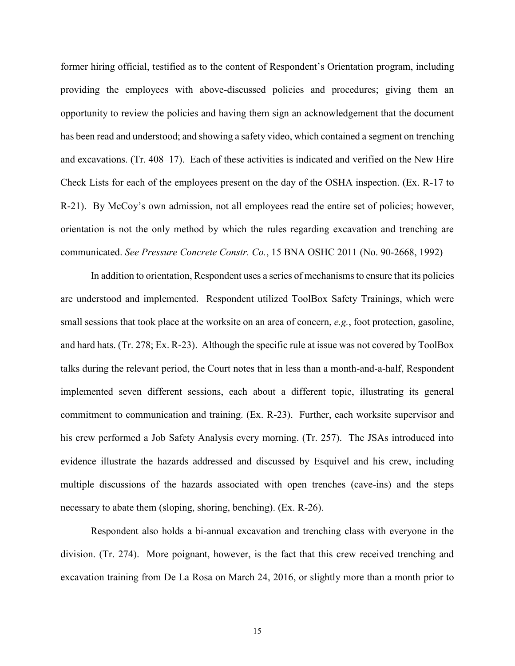former hiring official, testified as to the content of Respondent's Orientation program, including providing the employees with above-discussed policies and procedures; giving them an opportunity to review the policies and having them sign an acknowledgement that the document has been read and understood; and showing a safety video, which contained a segment on trenching and excavations. (Tr. 408–17). Each of these activities is indicated and verified on the New Hire Check Lists for each of the employees present on the day of the OSHA inspection. (Ex. R-17 to R-21). By McCoy's own admission, not all employees read the entire set of policies; however, orientation is not the only method by which the rules regarding excavation and trenching are communicated. *See Pressure Concrete Constr. Co.*, 15 BNA OSHC 2011 (No. 90-2668, 1992)

In addition to orientation, Respondent uses a series of mechanisms to ensure that its policies are understood and implemented. Respondent utilized ToolBox Safety Trainings, which were small sessions that took place at the worksite on an area of concern, *e.g.*, foot protection, gasoline, and hard hats. (Tr. 278; Ex. R-23). Although the specific rule at issue was not covered by ToolBox talks during the relevant period, the Court notes that in less than a month-and-a-half, Respondent implemented seven different sessions, each about a different topic, illustrating its general commitment to communication and training. (Ex. R-23). Further, each worksite supervisor and his crew performed a Job Safety Analysis every morning. (Tr. 257). The JSAs introduced into evidence illustrate the hazards addressed and discussed by Esquivel and his crew, including multiple discussions of the hazards associated with open trenches (cave-ins) and the steps necessary to abate them (sloping, shoring, benching). (Ex. R-26).

Respondent also holds a bi-annual excavation and trenching class with everyone in the division. (Tr. 274). More poignant, however, is the fact that this crew received trenching and excavation training from De La Rosa on March 24, 2016, or slightly more than a month prior to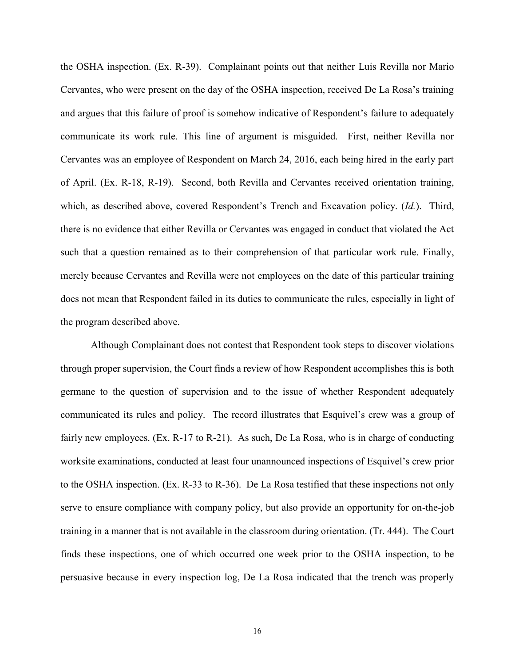the OSHA inspection. (Ex. R-39). Complainant points out that neither Luis Revilla nor Mario Cervantes, who were present on the day of the OSHA inspection, received De La Rosa's training and argues that this failure of proof is somehow indicative of Respondent's failure to adequately communicate its work rule. This line of argument is misguided. First, neither Revilla nor Cervantes was an employee of Respondent on March 24, 2016, each being hired in the early part of April. (Ex. R-18, R-19). Second, both Revilla and Cervantes received orientation training, which, as described above, covered Respondent's Trench and Excavation policy. (*Id.*). Third, there is no evidence that either Revilla or Cervantes was engaged in conduct that violated the Act such that a question remained as to their comprehension of that particular work rule. Finally, merely because Cervantes and Revilla were not employees on the date of this particular training does not mean that Respondent failed in its duties to communicate the rules, especially in light of the program described above.

Although Complainant does not contest that Respondent took steps to discover violations through proper supervision, the Court finds a review of how Respondent accomplishes this is both germane to the question of supervision and to the issue of whether Respondent adequately communicated its rules and policy. The record illustrates that Esquivel's crew was a group of fairly new employees. (Ex. R-17 to R-21). As such, De La Rosa, who is in charge of conducting worksite examinations, conducted at least four unannounced inspections of Esquivel's crew prior to the OSHA inspection. (Ex. R-33 to R-36). De La Rosa testified that these inspections not only serve to ensure compliance with company policy, but also provide an opportunity for on-the-job training in a manner that is not available in the classroom during orientation. (Tr. 444). The Court finds these inspections, one of which occurred one week prior to the OSHA inspection, to be persuasive because in every inspection log, De La Rosa indicated that the trench was properly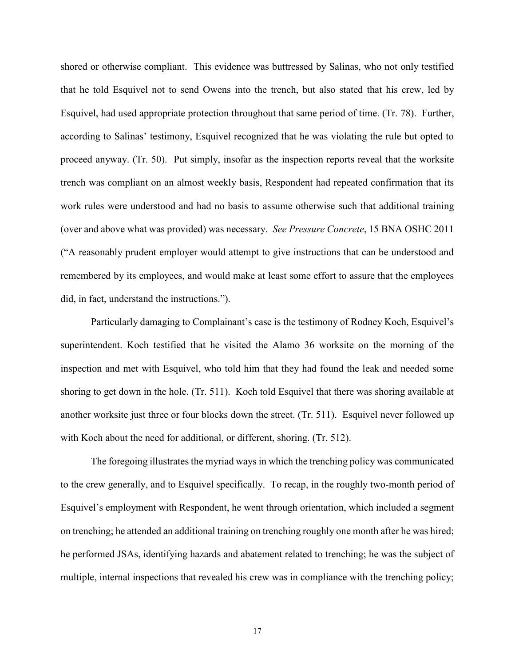shored or otherwise compliant. This evidence was buttressed by Salinas, who not only testified that he told Esquivel not to send Owens into the trench, but also stated that his crew, led by Esquivel, had used appropriate protection throughout that same period of time. (Tr. 78). Further, according to Salinas' testimony, Esquivel recognized that he was violating the rule but opted to proceed anyway. (Tr. 50). Put simply, insofar as the inspection reports reveal that the worksite trench was compliant on an almost weekly basis, Respondent had repeated confirmation that its work rules were understood and had no basis to assume otherwise such that additional training (over and above what was provided) was necessary. *See Pressure Concrete*, 15 BNA OSHC 2011 ("A reasonably prudent employer would attempt to give instructions that can be understood and remembered by its employees, and would make at least some effort to assure that the employees did, in fact, understand the instructions.").

Particularly damaging to Complainant's case is the testimony of Rodney Koch, Esquivel's superintendent. Koch testified that he visited the Alamo 36 worksite on the morning of the inspection and met with Esquivel, who told him that they had found the leak and needed some shoring to get down in the hole. (Tr. 511). Koch told Esquivel that there was shoring available at another worksite just three or four blocks down the street. (Tr. 511). Esquivel never followed up with Koch about the need for additional, or different, shoring. (Tr. 512).

The foregoing illustrates the myriad ways in which the trenching policy was communicated to the crew generally, and to Esquivel specifically. To recap, in the roughly two-month period of Esquivel's employment with Respondent, he went through orientation, which included a segment on trenching; he attended an additional training on trenching roughly one month after he was hired; he performed JSAs, identifying hazards and abatement related to trenching; he was the subject of multiple, internal inspections that revealed his crew was in compliance with the trenching policy;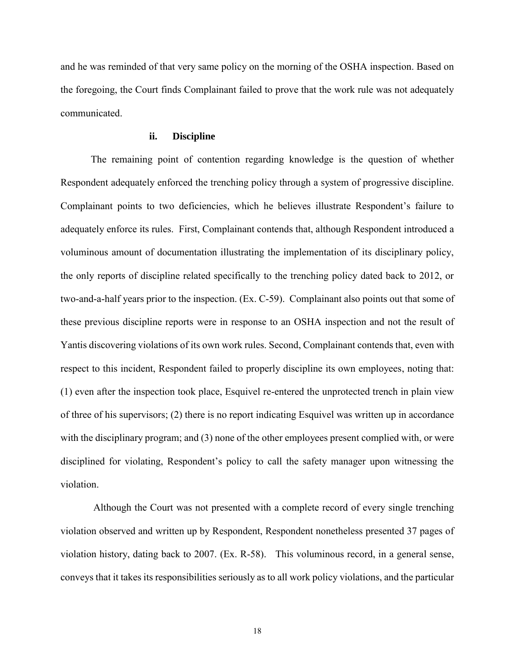and he was reminded of that very same policy on the morning of the OSHA inspection. Based on the foregoing, the Court finds Complainant failed to prove that the work rule was not adequately communicated.

#### **ii. Discipline**

The remaining point of contention regarding knowledge is the question of whether Respondent adequately enforced the trenching policy through a system of progressive discipline. Complainant points to two deficiencies, which he believes illustrate Respondent's failure to adequately enforce its rules. First, Complainant contends that, although Respondent introduced a voluminous amount of documentation illustrating the implementation of its disciplinary policy, the only reports of discipline related specifically to the trenching policy dated back to 2012, or two-and-a-half years prior to the inspection. (Ex. C-59). Complainant also points out that some of these previous discipline reports were in response to an OSHA inspection and not the result of Yantis discovering violations of its own work rules. Second, Complainant contends that, even with respect to this incident, Respondent failed to properly discipline its own employees, noting that: (1) even after the inspection took place, Esquivel re-entered the unprotected trench in plain view of three of his supervisors; (2) there is no report indicating Esquivel was written up in accordance with the disciplinary program; and (3) none of the other employees present complied with, or were disciplined for violating, Respondent's policy to call the safety manager upon witnessing the violation.

Although the Court was not presented with a complete record of every single trenching violation observed and written up by Respondent, Respondent nonetheless presented 37 pages of violation history, dating back to 2007. (Ex. R-58). This voluminous record, in a general sense, conveys that it takes its responsibilities seriously as to all work policy violations, and the particular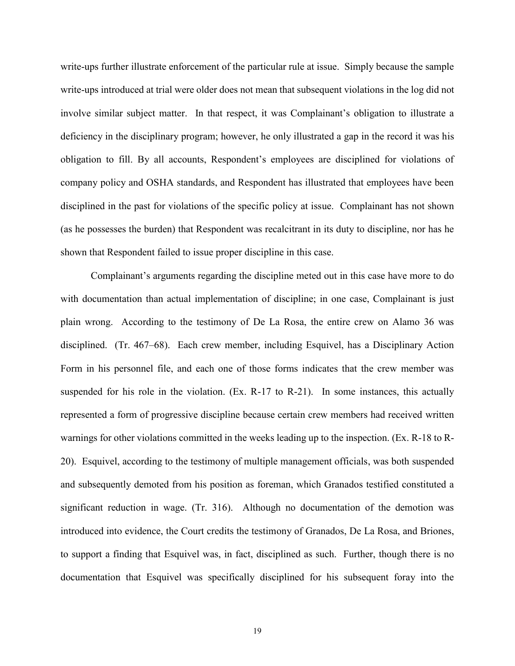write-ups further illustrate enforcement of the particular rule at issue. Simply because the sample write-ups introduced at trial were older does not mean that subsequent violations in the log did not involve similar subject matter. In that respect, it was Complainant's obligation to illustrate a deficiency in the disciplinary program; however, he only illustrated a gap in the record it was his obligation to fill. By all accounts, Respondent's employees are disciplined for violations of company policy and OSHA standards, and Respondent has illustrated that employees have been disciplined in the past for violations of the specific policy at issue. Complainant has not shown (as he possesses the burden) that Respondent was recalcitrant in its duty to discipline, nor has he shown that Respondent failed to issue proper discipline in this case.

Complainant's arguments regarding the discipline meted out in this case have more to do with documentation than actual implementation of discipline; in one case, Complainant is just plain wrong. According to the testimony of De La Rosa, the entire crew on Alamo 36 was disciplined. (Tr. 467–68). Each crew member, including Esquivel, has a Disciplinary Action Form in his personnel file, and each one of those forms indicates that the crew member was suspended for his role in the violation. (Ex. R-17 to R-21). In some instances, this actually represented a form of progressive discipline because certain crew members had received written warnings for other violations committed in the weeks leading up to the inspection. (Ex. R-18 to R-20). Esquivel, according to the testimony of multiple management officials, was both suspended and subsequently demoted from his position as foreman, which Granados testified constituted a significant reduction in wage. (Tr. 316). Although no documentation of the demotion was introduced into evidence, the Court credits the testimony of Granados, De La Rosa, and Briones, to support a finding that Esquivel was, in fact, disciplined as such. Further, though there is no documentation that Esquivel was specifically disciplined for his subsequent foray into the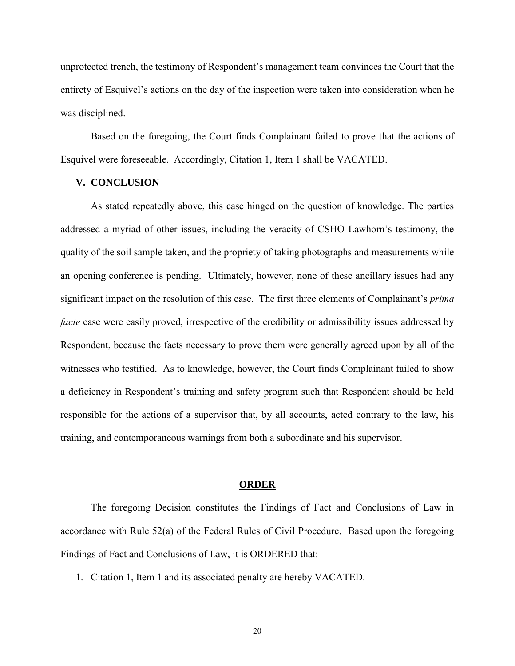unprotected trench, the testimony of Respondent's management team convinces the Court that the entirety of Esquivel's actions on the day of the inspection were taken into consideration when he was disciplined.

Based on the foregoing, the Court finds Complainant failed to prove that the actions of Esquivel were foreseeable. Accordingly, Citation 1, Item 1 shall be VACATED.

#### **V. CONCLUSION**

As stated repeatedly above, this case hinged on the question of knowledge. The parties addressed a myriad of other issues, including the veracity of CSHO Lawhorn's testimony, the quality of the soil sample taken, and the propriety of taking photographs and measurements while an opening conference is pending. Ultimately, however, none of these ancillary issues had any significant impact on the resolution of this case. The first three elements of Complainant's *prima facie* case were easily proved, irrespective of the credibility or admissibility issues addressed by Respondent, because the facts necessary to prove them were generally agreed upon by all of the witnesses who testified. As to knowledge, however, the Court finds Complainant failed to show a deficiency in Respondent's training and safety program such that Respondent should be held responsible for the actions of a supervisor that, by all accounts, acted contrary to the law, his training, and contemporaneous warnings from both a subordinate and his supervisor.

#### **ORDER**

The foregoing Decision constitutes the Findings of Fact and Conclusions of Law in accordance with Rule 52(a) of the Federal Rules of Civil Procedure. Based upon the foregoing Findings of Fact and Conclusions of Law, it is ORDERED that:

1. Citation 1, Item 1 and its associated penalty are hereby VACATED.